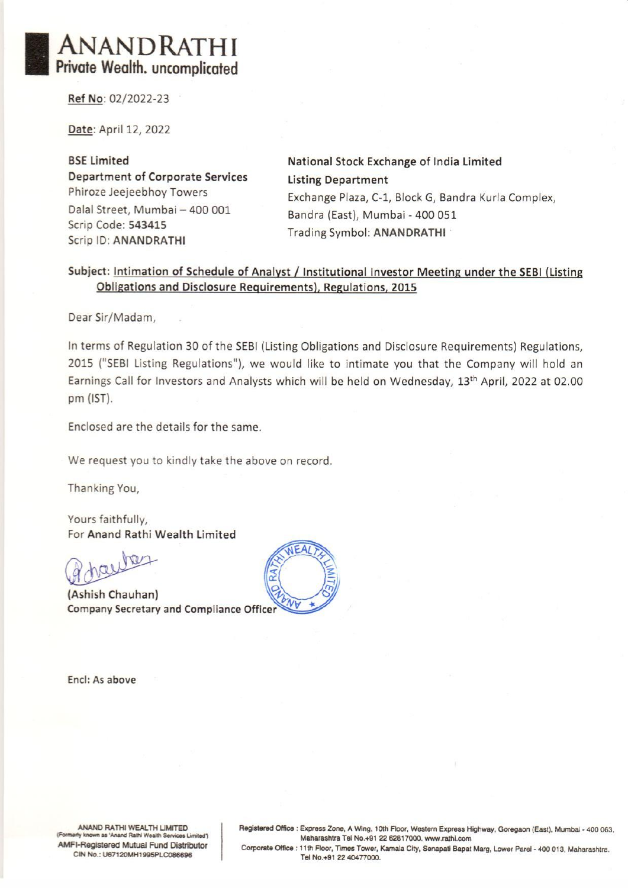Ref No: 02/2022-23

Date: April 12, 2022

BSE Limited National Stock Exchange of India Limited Department of Corporate Services Listing Department Dalal Street, Mumbai — 400 001 Bandra (East), Mumbai - 400 051 Scrip Code: 543415<br>
Scrip ID: ANANDRATHI Trading Symbol: ANANDRATHI **NDRATHI**<br> **Ealth. uncomplicated**<br>
Pazz 2022<br>
Fil 12, 2022<br>
Fil 12, 2022<br>
Rational Studies<br>
eejeebhoy Towers<br>
Exchange Pl<br>
Exchange Pl<br>
Exchange Pl<br>
Exchange Pl<br>
Exchange Pl<br>
Bandra (Eas<br>
Frading Sym<br>
Trading Sym<br>
Intimati

Phiroze Jeejeebhoy Towers Exchange Plaza, C-1, Block G, Bandra Kurla Complex,

#### Subject: Intimation of Schedule of Analyst / Institutional Investor Meeting under the SEBI (Listing Obligations and Disclosure Requirements), Regulations, 2015

Dear Sir/Madam,

In terms of Regulation 30 of the SEBI (Listing Obligations and Disclosure Requirements) Regulations, 2015 ("SEBI Listing Regulations"), we would like to intimate you that the Company will hold an Earnings Call for Investors and Analysts which will be held on Wednesday, 13<sup>th</sup> April, 2022 at 02.00 pm (IST).

Enclosed are the details for the same.

We request you to kindly take the above on record.

Thanking You,

Yours faithfully, For Anand Rathi Wealth Limited

 $Q_{ab}$ hay

(Ashish Chauhan) **Company Secretary and Compliance Officer** 



Encl: As above

red Office : Exp<br>Ma<br>rate Office : 11tl<br>Tel ANAND RATHI WEALTH LIMITED<br>
Formerly known as 'Anand Rathi Wealth Services Limited')<br>
Maharashtra Tel No.+91 22 62817000. www.rathi.com<br>
Maharashtra Tel No.+91 22 62817000. www.rathi.com<br>
Corporate Office : 11th Floor, Tim